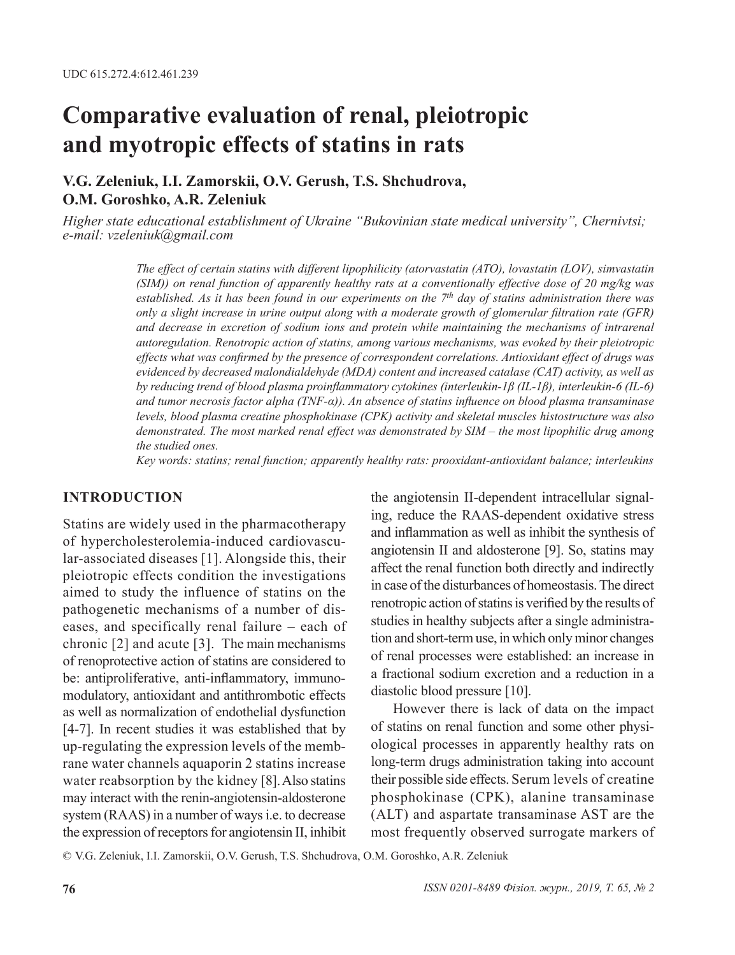# **Comparative evaluation of renal, pleiotropic and myotropic effects of statins in rats**

## **V.G. Zeleniuk, I.I. Zamorskii, O.V. Gerush, T.S. Shchudrova, O.M. Goroshko, A.R. Zeleniuk**

*Higher state educational establishment of Ukraine "Bukovinian state medical university", Chernivtsi; e-mail: vzeleniuk@gmail.com*

> *The effect of certain statins with different lipophilicity (atorvastatin (ATO), lovastatin (LOV), simvastatin (SIM)) on renal function of apparently healthy rats at a conventionally effective dose of 20 mg/kg was established. As it has been found in our experiments on the 7th day of statins administration there was only a slight increase in urine output along with a moderate growth of glomerular filtration rate (GFR) and decrease in excretion of sodium ions and protein while maintaining the mechanisms of intrarenal autoregulation. Renotropic action of statins, among various mechanisms, was evoked by their pleiotropic effects what was confirmed by the presence of correspondent correlations. Antioxidant effect of drugs was evidenced by decreased malondialdehyde (MDA) content and increased catalase (CAT) activity, as well as by reducing trend of blood plasma proinflammatory cytokines (interleukin-1β (IL-1β), interleukin-6 (IL-6) and tumor necrosis factor alpha (TNF-α)). An absence of statins influence on blood plasma transaminase levels, blood plasma creatine phosphokinase (CPK) activity and skeletal muscles histostructure was also demonstrated. The most marked renal effect was demonstrated by SIM – the most lipophilic drug among the studied ones.*

> *Key words: statins; renal function; apparently healthy rats: prooxidant-antioxidant balance; interleukins*

### **INTRODUCTION**

Statins are widely used in the pharmacotherapy of hypercholesterolemia-induced cardiovascular-associated diseases [1]. Alongside this, their pleiotropic effects condition the investigations aimed to study the influence of statins on the pathogenetic mechanisms of a number of diseases, and specifically renal failure – each of chronic [2] and acute [3]. The main mechanisms of renoprotective action of statins are considered to be: antiproliferative, anti-inflammatory, immunomodulatory, antioxidant and antithrombotic effects as well as normalization of endothelial dysfunction [4-7]. In recent studies it was established that by up-regulating the expression levels of the membrane water channels aquaporin 2 statins increase water reabsorption by the kidney [8]. Also statins may interact with the renin-angiotensin-aldosterone system (RAAS) in a number of ways i.e. to decrease the expression of receptors for angiotensin II, inhibit the angiotensin II-dependent intracellular signaling, reduce the RAAS-dependent oxidative stress and inflammation as well as inhibit the synthesis of angiotensin II and aldosterone [9]. So, statins may affect the renal function both directly and indirectly in case of the disturbances of homeostasis. The direct renotropic action of statins is verified by the results of studies in healthy subjects after a single administration and short-term use, in which only minor changes of renal processes were established: an increase in a fractional sodium excretion and a reduction in a diastolic blood pressure [10].

However there is lack of data on the impact of statins on renal function and some other physiological processes in apparently healthy rats on long-term drugs administration taking into account their possible side effects. Serum levels of creatine phosphokinase (CPK), alanine transaminase (ALT) and aspartate transaminase AST are the most frequently observed surrogate markers of

© V.G. Zeleniuk, I.I. Zamorskii, O.V. Gerush, T.S. Shchudrova, O.M. Goroshko, A.R. Zeleniuk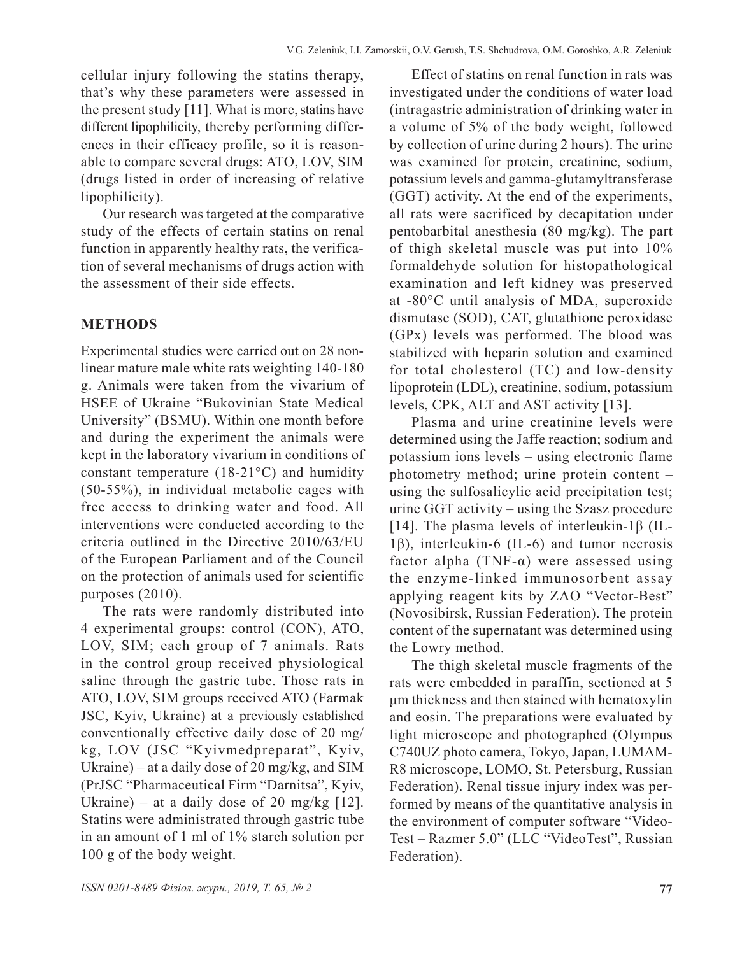cellular injury following the statins therapy, that's why these parameters were assessed in the present study [11]. What is more, statins have different lipophilicity, thereby performing differences in their efficacy profile, so it is reasonable to compare several drugs: ATO, LOV, SIM (drugs listed in order of increasing of relative lipophilicity).

Our research was targeted at the comparative study of the effects of certain statins on renal function in apparently healthy rats, the verification of several mechanisms of drugs action with the assessment of their side effects.

## **METHODS**

Experimental studies were carried out on 28 nonlinear mature male white rats weighting 140-180 g. Animals were taken from the vivarium of HSEE of Ukraine "Bukovinian State Medical University" (BSMU). Within one month before and during the experiment the animals were kept in the laboratory vivarium in conditions of constant temperature (18-21°C) and humidity (50-55%), in individual metabolic cages with free access to drinking water and food. All interventions were conducted according to the criteria outlined in the Directive 2010/63/EU of the European Parliament and of the Council on the protection of animals used for scientific purposes (2010).

The rats were randomly distributed into 4 experimental groups: control (CON), ATO, LOV, SIM; each group of 7 animals. Rats in the control group received physiological saline through the gastric tube. Those rats in ATO, LOV, SIM groups received ATO (Farmak JSC, Kyiv, Ukraine) at a previously established conventionally effective daily dose of 20 mg/ kg, LOV (JSC "Kyivmedpreparat", Kyiv, Ukraine) – at a daily dose of 20 mg/kg, and SIM (PrJSC "Pharmaceutical Firm "Darnitsa", Kyiv, Ukraine) – at a daily dose of 20 mg/kg  $[12]$ . Statins were administrated through gastric tube in an amount of 1 ml of 1% starch solution per 100 g of the body weight.

Effect of statins on renal function in rats was investigated under the conditions of water load (intragastric administration of drinking water in a volume of 5% of the body weight, followed by collection of urine during 2 hours). The urine was examined for protein, creatinine, sodium, potassium levels and gamma-glutamyltransferase (GGT) activity. At the end of the experiments, all rats were sacrificed by decapitation under pentobarbital anesthesia (80 mg/kg). The part of thigh skeletal muscle was put into 10% formaldehyde solution for histopathological examination and left kidney was preserved at -80°C until analysis of MDA, superoxide dismutase (SOD), CAT, glutathione peroxidase (GPx) levels was performed. The blood was stabilized with heparin solution and examined for total cholesterol (TC) and low-density lipoprotein (LDL), creatinine, sodium, potassium levels, CPK, ALT and AST activity [13].

Plasma and urine creatinine levels were determined using the Jaffe reaction; sodium and potassium ions levels – using electronic flame photometry method; urine protein content – using the sulfosalicylic acid precipitation test; urine GGT activity – using the Szasz procedure [14]. The plasma levels of interleukin-1β (IL-1β), interleukin-6 (IL-6) and tumor necrosis factor alpha (TNF- $\alpha$ ) were assessed using the enzyme-linked immunosorbent assay applying reagent kits by ZAO "Vector-Best" (Novosibirsk, Russian Federation). The protein content of the supernatant was determined using the Lowry method.

The thigh skeletal muscle fragments of the rats were embedded in paraffin, sectioned at 5 μm thickness and then stained with hematoxylin and eosin. The preparations were evaluated by light microscope and photographed (Olympus C740UZ photo camera, Tokyo, Japan, LUMAM-R8 microscope, LOMO, St. Petersburg, Russian Federation). Renal tissue injury index was performed by means of the quantitative analysis in the environment of computer software "Video-Test – Razmer 5.0" (LLC "VideoTest", Russian Federation).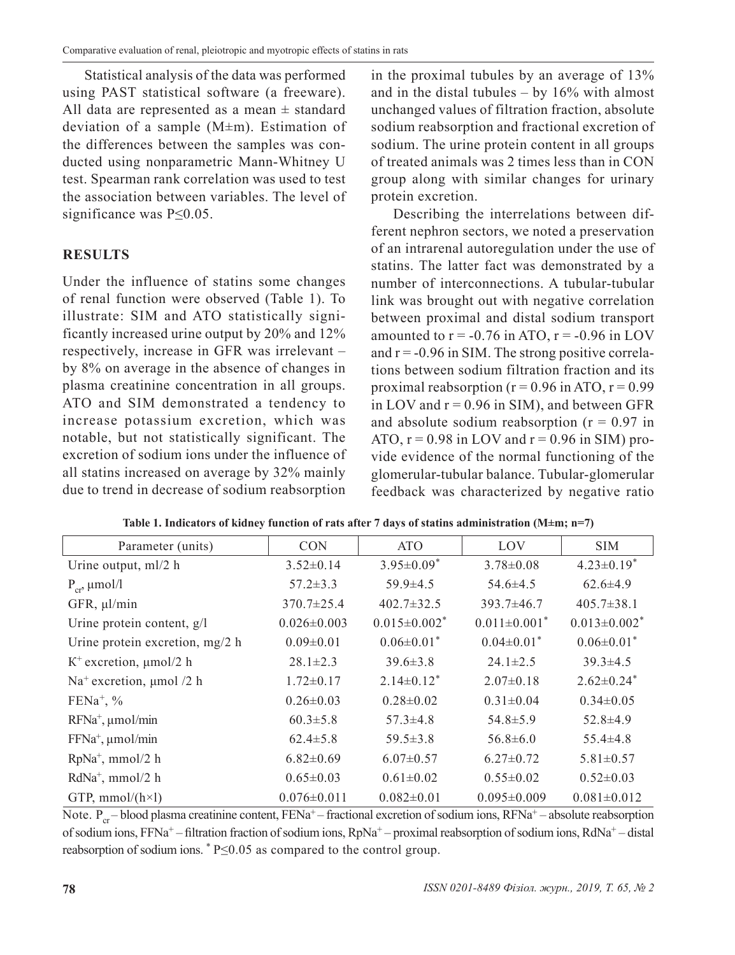Statistical analysis of the data was performed using PAST statistical software (a freeware). All data are represented as a mean  $\pm$  standard deviation of a sample (M±m). Estimation of the differences between the samples was conducted using nonparametric Mann-Whitney U test. Spearman rank correlation was used to test the association between variables. The level of significance was P≤0.05.

## **RESULTS**

Under the influence of statins some changes of renal function were observed (Table 1). To illustrate: SIM and ATO statistically significantly increased urine output by 20% and 12% respectively, increase in GFR was irrelevant – by 8% on average in the absence of changes in plasma creatinine concentration in all groups. ATO and SIM demonstrated a tendency to increase potassium excretion, which was notable, but not statistically significant. The excretion of sodium ions under the influence of all statins increased on average by 32% mainly due to trend in decrease of sodium reabsorption

in the proximal tubules by an average of 13% and in the distal tubules – by 16% with almost unchanged values of filtration fraction, absolute sodium reabsorption and fractional excretion of sodium. The urine protein content in all groups of treated animals was 2 times less than in CON group along with similar changes for urinary protein excretion.

Describing the interrelations between different nephron sectors, we noted a preservation of an intrarenal autoregulation under the use of statins. The latter fact was demonstrated by a number of interconnections. A tubular-tubular link was brought out with negative correlation between proximal and distal sodium transport amounted to  $r = -0.76$  in ATO,  $r = -0.96$  in LOV and  $r = -0.96$  in SIM. The strong positive correlations between sodium filtration fraction and its proximal reabsorption ( $r = 0.96$  in ATO,  $r = 0.99$ ) in LOV and  $r = 0.96$  in SIM), and between GFR and absolute sodium reabsorption  $(r = 0.97$  in ATO,  $r = 0.98$  in LOV and  $r = 0.96$  in SIM) provide evidence of the normal functioning of the glomerular-tubular balance. Tubular-glomerular feedback was characterized by negative ratio

| Parameter (units)                         | <b>CON</b>        | <b>ATO</b>                     | LOV                            | <b>SIM</b>                     |
|-------------------------------------------|-------------------|--------------------------------|--------------------------------|--------------------------------|
| Urine output, ml/2 h                      | $3.52 \pm 0.14$   | $3.95 \pm 0.09^*$              | $3.78 \pm 0.08$                | $4.23 \pm 0.19^*$              |
| $P_{cr}$ µmol/l                           | $57.2 \pm 3.3$    | $59.9 \pm 4.5$                 | $54.6 \pm 4.5$                 | $62.6 \pm 4.9$                 |
| GFR, µl/min                               | $370.7 \pm 25.4$  | $402.7 \pm 32.5$               | $393.7 \pm 46.7$               | $405.7 \pm 38.1$               |
| Urine protein content, g/l                | $0.026 \pm 0.003$ | $0.015 \pm 0.002$ <sup>*</sup> | $0.011 \pm 0.001$ <sup>*</sup> | $0.013 \pm 0.002$ <sup>*</sup> |
| Urine protein excretion, mg/2 h           | $0.09 \pm 0.01$   | $0.06 \pm 0.01$ <sup>*</sup>   | $0.04 \pm 0.01$ <sup>*</sup>   | $0.06 \pm 0.01$ <sup>*</sup>   |
| $K^+$ excretion, $\mu$ mol/2 h            | $28.1 \pm 2.3$    | $39.6 \pm 3.8$                 | $24.1 \pm 2.5$                 | $39.3 \pm 4.5$                 |
| Na <sup>+</sup> excretion, $\mu$ mol /2 h | $1.72 \pm 0.17$   | $2.14\pm0.12^*$                | $2.07 \pm 0.18$                | $2.62 \pm 0.24$ <sup>*</sup>   |
| $FENa^+$ , %                              | $0.26 \pm 0.03$   | $0.28 \pm 0.02$                | $0.31 \pm 0.04$                | $0.34 \pm 0.05$                |
| $RFNa^+$ , $\mu$ mol/min                  | $60.3 \pm 5.8$    | $57.3 \pm 4.8$                 | $54.8 \pm 5.9$                 | $52.8 \pm 4.9$                 |
| $FFNa^+$ , $\mu$ mol/min                  | $62.4 \pm 5.8$    | $59.5 \pm 3.8$                 | $56.8 \pm 6.0$                 | $55.4 \pm 4.8$                 |
| RpNa <sup>+</sup> , mmol/2 h              | $6.82 \pm 0.69$   | $6.07\pm0.57$                  | $6.27 \pm 0.72$                | $5.81 \pm 0.57$                |
| RdNa <sup>+</sup> , mmol/2 h              | $0.65 \pm 0.03$   | $0.61 \pm 0.02$                | $0.55 \pm 0.02$                | $0.52 \pm 0.03$                |
| GTP, $mmol/(h \times l)$                  | $0.076 \pm 0.011$ | $0.082 \pm 0.01$               | $0.095 \pm 0.009$              | $0.081 \pm 0.012$              |

**Table 1. Indicators of kidney function of rats after 7 days of statins administration (M±m; n=7)**

Note.  $P_{cr}$  – blood plasma creatinine content, FENa<sup>+</sup> – fractional excretion of sodium ions, RFNa<sup>+</sup> – absolute reabsorption of sodium ions, FFNa+ – filtration fraction of sodium ions, RpNa+ – proximal reabsorption of sodium ions, RdNa+ – distal reabsorption of sodium ions.  $P \leq 0.05$  as compared to the control group.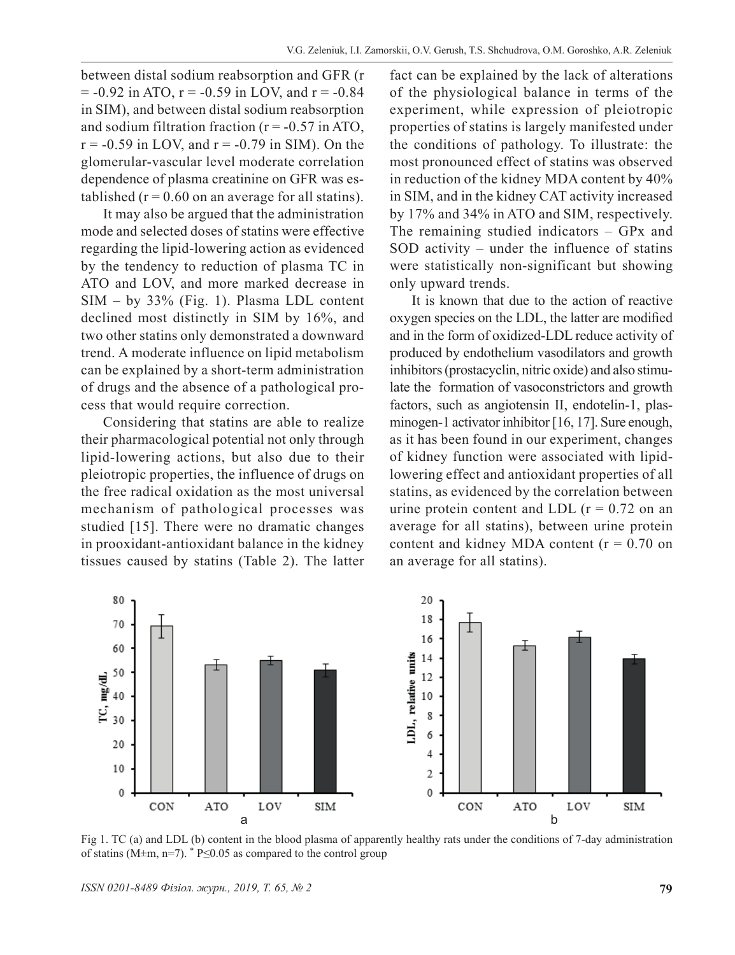between distal sodium reabsorption and GFR (r  $= -0.92$  in ATO,  $r = -0.59$  in LOV, and  $r = -0.84$ in SIM), and between distal sodium reabsorption and sodium filtration fraction  $(r = -0.57 \text{ in ATO})$ ,  $r = -0.59$  in LOV, and  $r = -0.79$  in SIM). On the glomerular-vascular level moderate correlation dependence of plasma creatinine on GFR was established  $(r = 0.60$  on an average for all statins).

It may also be argued that the administration mode and selected doses of statins were effective regarding the lipid-lowering action as evidenced by the tendency to reduction of plasma TC in ATO and LOV, and more marked decrease in SIM – by 33% (Fig. 1). Plasma LDL content declined most distinctly in SIM by 16%, and two other statins only demonstrated a downward trend. A moderate influence on lipid metabolism can be explained by a short-term administration of drugs and the absence of a pathological process that would require correction.

Considering that statins are able to realize their pharmacological potential not only through lipid-lowering actions, but also due to their pleiotropic properties, the influence of drugs on the free radical oxidation as the most universal mechanism of pathological processes was studied [15]. There were no dramatic changes in prooxidant-antioxidant balance in the kidney tissues caused by statins (Table 2). The latter fact can be explained by the lack of alterations of the physiological balance in terms of the experiment, while expression of pleiotropic properties of statins is largely manifested under the conditions of pathology. To illustrate: the most pronounced effect of statins was observed in reduction of the kidney MDA content by 40% in SIM, and in the kidney CAT activity increased by 17% and 34% in ATO and SIM, respectively. The remaining studied indicators – GPx and SOD activity – under the influence of statins were statistically non-significant but showing only upward trends.

It is known that due to the action of reactive oxygen species on the LDL, the latter are modified and in the form of oxidized-LDL reduce activity of produced by endothelium vasodilators and growth inhibitors (prostacyclin, nitric oxide) and also stimulate the formation of vasoconstrictors and growth factors, such as angiotensin II, endotelin-1, plasminogen-1 activator inhibitor [16, 17]. Sure enough, as it has been found in our experiment, changes of kidney function were associated with lipidlowering effect and antioxidant properties of all statins, as evidenced by the correlation between urine protein content and LDL  $(r = 0.72)$  on an average for all statins), between urine protein content and kidney MDA content  $(r = 0.70)$  on an average for all statins).



Fig 1. TC (a) and LDL (b) content in the blood plasma of apparently healthy rats under the conditions of 7-day administration of statins (M $\pm$ m, n=7). <sup>\*</sup> P $\leq$ 0.05 as compared to the control group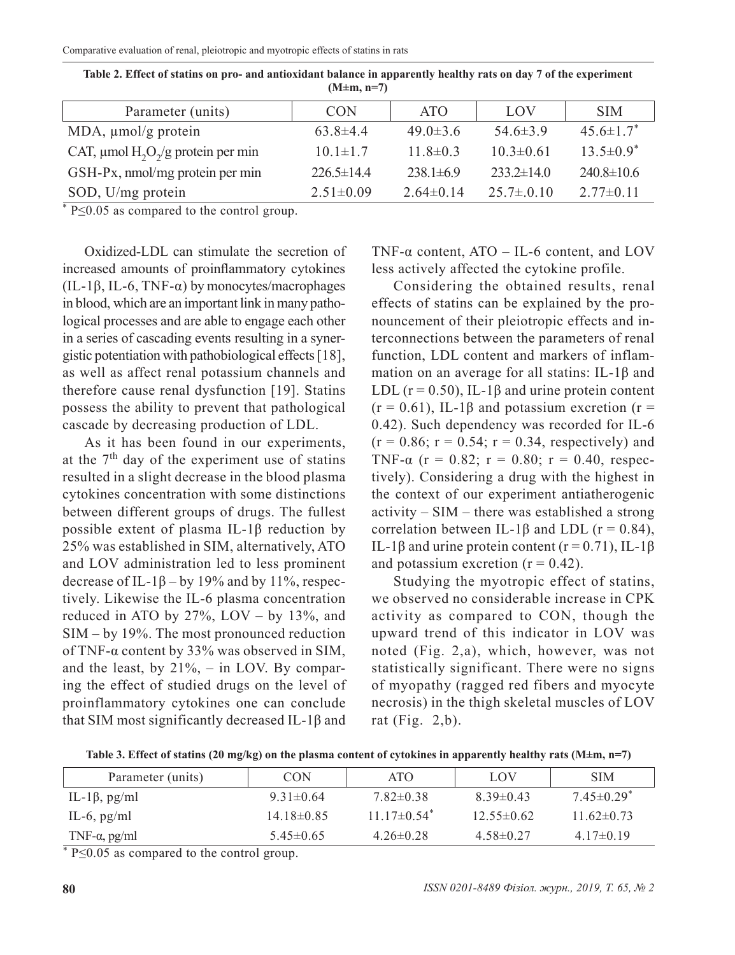| Parameter (units)                                               | <b>CON</b>       | ATO             | LOV              | <b>SIM</b>       |  |  |
|-----------------------------------------------------------------|------------------|-----------------|------------------|------------------|--|--|
| MDA, µmol/g protein                                             | $63.8\pm4.4$     | $49.0 \pm 3.6$  | $54.6 \pm 3.9$   | $45.6 \pm 1.7^*$ |  |  |
| CAT, $\mu$ mol H <sub>2</sub> O <sub>2</sub> /g protein per min | $10.1 \pm 1.7$   | $11.8 \pm 0.3$  | $10.3 \pm 0.61$  | $13.5 \pm 0.9^*$ |  |  |
| GSH-Px, nmol/mg protein per min                                 | $226.5 \pm 14.4$ | $238.1 \pm 6.9$ | $233.2 \pm 14.0$ | $240.8 \pm 10.6$ |  |  |
| SOD, U/mg protein                                               | $2.51 \pm 0.09$  | $2.64 \pm 0.14$ | $25.7 \pm 0.10$  | $2.77 \pm 0.11$  |  |  |

**Table 2. Effect of statins on pro- and antioxidant balance in apparently healthy rats on day 7 of the experiment (M±m, n=7)**

\* P≤0.05 as compared to the control group.

Oxidized-LDL can stimulate the secretion of increased amounts of proinflammatory cytokines (IL-1β, IL-6, TNF- $\alpha$ ) by monocytes/macrophages in blood, which are an important link in many pathological processes and are able to engage each other in a series of cascading events resulting in a synergistic potentiation with pathobiological effects [18], as well as affect renal potassium channels and therefore cause renal dysfunction [19]. Statins possess the ability to prevent that pathological cascade by decreasing production of LDL.

As it has been found in our experiments, at the  $7<sup>th</sup>$  day of the experiment use of statins resulted in a slight decrease in the blood plasma cytokines concentration with some distinctions between different groups of drugs. The fullest possible extent of plasma IL-1β reduction by 25% was established in SIM, alternatively, ATO and LOV administration led to less prominent decrease of IL-1 $\beta$  – by 19% and by 11%, respectively. Likewise the IL-6 plasma concentration reduced in ATO by 27%, LOV – by 13%, and SIM – by 19%. The most pronounced reduction of TNF-α content by 33% was observed in SIM, and the least, by  $21\%$ , – in LOV. By comparing the effect of studied drugs on the level of proinflammatory cytokines one can conclude that SIM most significantly decreased IL-1β and

TNF- $\alpha$  content, ATO – IL-6 content, and LOV less actively affected the cytokine profile.

Considering the obtained results, renal effects of statins can be explained by the pronouncement of their pleiotropic effects and interconnections between the parameters of renal function, LDL content and markers of inflammation on an average for all statins: IL-1β and LDL ( $r = 0.50$ ), IL-1 $\beta$  and urine protein content  $(r = 0.61)$ , IL-1 $\beta$  and potassium excretion  $(r =$ 0.42). Such dependency was recorded for IL-6  $(r = 0.86; r = 0.54; r = 0.34$ , respectively) and TNF- $\alpha$  (r = 0.82; r = 0.80; r = 0.40, respectively). Considering a drug with the highest in the context of our experiment antiatherogenic activity – SIM – there was established a strong correlation between IL-1β and LDL ( $r = 0.84$ ), IL-1β and urine protein content ( $r = 0.71$ ), IL-1β and potassium excretion  $(r = 0.42)$ .

Studying the myotropic effect of statins, we observed no considerable increase in CPK activity as compared to CON, though the upward trend of this indicator in LOV was noted (Fig. 2,a), which, however, was not statistically significant. There were no signs of myopathy (ragged red fibers and myocyte necrosis) in the thigh skeletal muscles of LOV rat  $(Fig. 2,b)$ .

| Parameter (units)     | <b>CON</b>      | ATO.                          | LOV            | <b>SIM</b>                 |
|-----------------------|-----------------|-------------------------------|----------------|----------------------------|
| IL-1 $\beta$ , pg/ml  | $9.31 \pm 0.64$ | $7.82 \pm 0.38$               | $8.39\pm0.43$  | $7.45\pm0.29$ <sup>*</sup> |
| IL-6, $pg/ml$         | $14.18\pm0.85$  | 11 17 $\pm$ 0 54 <sup>*</sup> | $12.55\pm0.62$ | $11.62 \pm 0.73$           |
| TNF- $\alpha$ , pg/ml | $5.45\pm0.65$   | $4.26 \pm 0.28$               | $4.58\pm0.27$  | $4.17\pm0.19$              |

**Table 3. Effect of statins (20 mg/kg) on the plasma content of cytokines in apparently healthy rats (M±m, n=7)**

\* P≤0.05 as compared to the control group.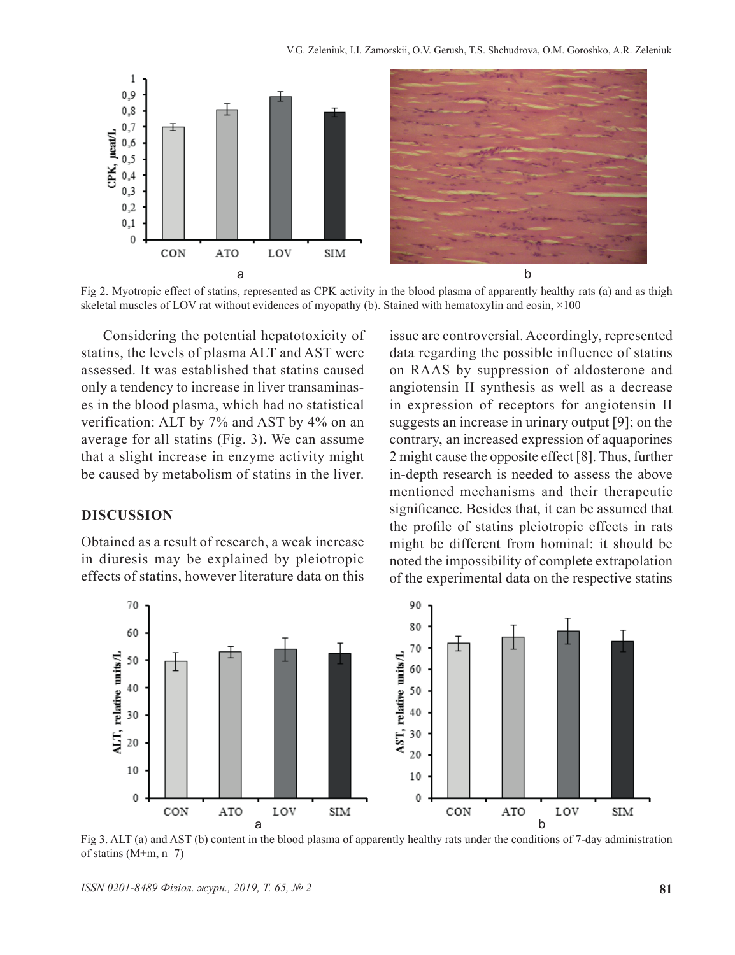

Fig 2. Myotropic effect of statins, represented as CPK activity in the blood plasma of apparently healthy rats (a) and as thigh skeletal muscles of LOV rat without evidences of myopathy (b). Stained with hematoxylin and eosin,  $\times 100$ 

Considering the potential hepatotoxicity of statins, the levels of plasma ALT and AST were assessed. It was established that statins caused only a tendency to increase in liver transaminases in the blood plasma, which had no statistical verification: ALT by 7% and AST by 4% on an average for all statins (Fig. 3). We can assume that a slight increase in enzyme activity might be caused by metabolism of statins in the liver.

#### **DISCUSSION**

Obtained as a result of research, a weak increase in diuresis may be explained by pleiotropic effects of statins, however literature data on this issue are controversial. Accordingly, represented data regarding the possible influence of statins on RAAS by suppression of aldosterone and angiotensin II synthesis as well as a decrease in expression of receptors for angiotensin II suggests an increase in urinary output [9]; on the contrary, an increased expression of aquaporines 2 might cause the opposite effect [8]. Thus, further in-depth research is needed to assess the above mentioned mechanisms and their therapeutic significance. Besides that, it can be assumed that the profile of statins pleiotropic effects in rats might be different from hominal: it should be noted the impossibility of complete extrapolation of the experimental data on the respective statins



Fig 3. ALT (a) and AST (b) content in the blood plasma of apparently healthy rats under the conditions of 7-day administration of statins  $(M \pm m, n=7)$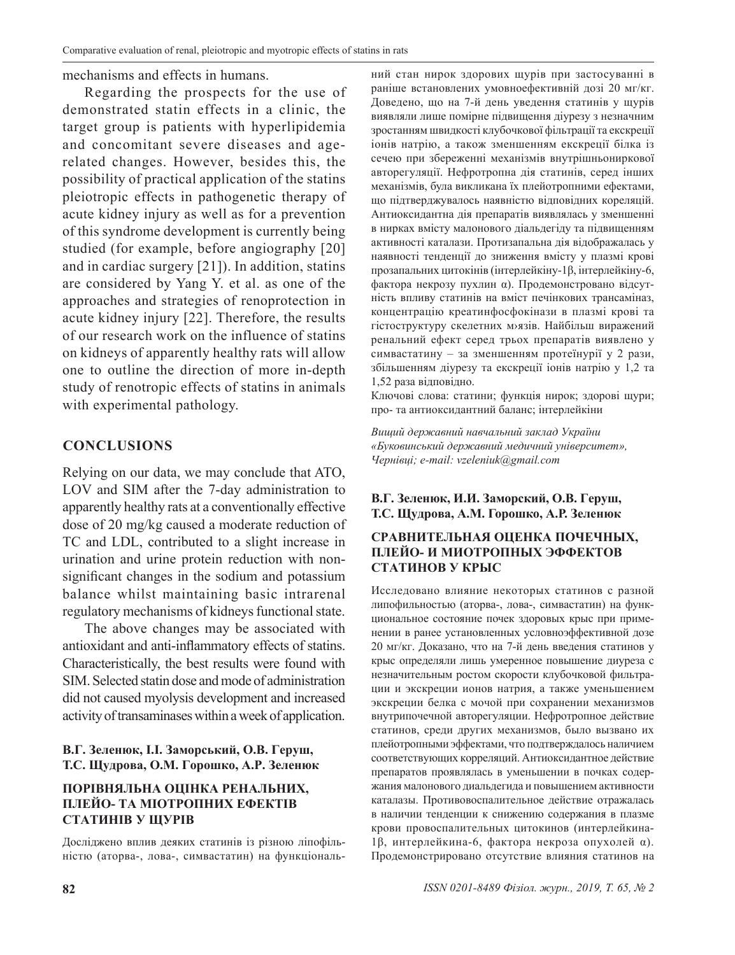mechanisms and effects in humans.

Regarding the prospects for the use of demonstrated statin effects in a clinic, the target group is patients with hyperlipidemia and concomitant severe diseases and agerelated changes. However, besides this, the possibility of practical application of the statins pleiotropic effects in pathogenetic therapy of acute kidney injury as well as for a prevention of this syndrome development is currently being studied (for example, before angiography [20] and in cardiac surgery [21]). In addition, statins are considered by Yang Y. et al. as one of the approaches and strategies of renoprotection in acute kidney injury [22]. Therefore, the results of our research work on the influence of statins on kidneys of apparently healthy rats will allow one to outline the direction of more in-depth study of renotropic effects of statins in animals with experimental pathology.

## **CONCLUSIONS**

Relying on our data, we may conclude that ATO, LOV and SIM after the 7-day administration to apparently healthy rats at a conventionally effective dose of 20 mg/kg caused a moderate reduction of TC and LDL, contributed to a slight increase in urination and urine protein reduction with nonsignificant changes in the sodium and potassium balance whilst maintaining basic intrarenal regulatory mechanisms of kidneys functional state.

The above changes may be associated with antioxidant and anti-inflammatory effects of statins. Characteristically, the best results were found with SIM. Selected statin dose and mode of administration did not caused myolysis development and increased activity of transaminases within a week of application.

## **В.Г. Зеленюк, І.І. Заморський, О.В. Геруш, Т.С. Щудрова, О.М. Горошко, А.Р. Зеленюк**

## **ПОРІВНЯЛЬНА ОЦІНКА РЕНАЛЬНИХ, ПЛЕЙО- ТА МІОТРОПНИХ ЕФЕКТІВ СТАТИНІВ У ЩУРІВ**

Досліджено вплив деяких статинів із різною ліпофільністю (аторва-, лова-, симвастатин) на функціональний стан нирок здорових щурів при застосуванні в раніше встановлених умовноефективній дозі 20 мг/кг. Доведено, що на 7-й день уведення статинів у щурів виявляли лише помірне підвищення діурезу з незначним зростанням швидкості клубочкової фільтрації та екскреції іонів натрію, а також зменшенням екскреції білка із сечею при збереженні механізмів внутрішньониркової авторегуляції. Нефротропна дія статинів, серед інших механізмів, була викликана їх плейотропними ефектами, що підтверджувалось наявністю відповідних кореляцій. Антиоксидантна дія препаратів виявлялась у зменшенні в нирках вмісту малонового діальдегіду та підвищенням активності каталази. Протизапальна дія відображалась у наявності тенденції до зниження вмісту у плазмі крові прозапальних цитокінів (інтерлейкіну-1β, інтерлейкіну-6, фактора некрозу пухлин α). Продемонстровано відсутність впливу статинів на вміст печінкових трансаміназ, концентрацію креатинфосфокінази в плазмі крові та гістоструктуру скелетних м›язів. Найбільш виражений ренальний ефект серед трьох препаратів виявлено у симвастатину – за зменшенням протеїнурії у 2 рази, збільшенням діурезу та екскреції іонів натрію у 1,2 та 1,52 раза відповідно.

Ключові слова: статини; функція нирок; здорові щури; про- та антиоксидантний баланс; інтерлейкіни

*Вищий державний навчальний заклад України «Буковинський державний медичний університет», Чернівці; e-mail: vzeleniuk@gmail.com*

## **В.Г. Зеленюк, И.И. Заморский, О.В. Геруш, Т.С. Щудрова, А.М. Горошко, А.Р. Зеленюк**

#### **СРАВНИТЕЛЬНАЯ ОЦЕНКА ПОЧЕЧНЫХ, ПЛЕЙО- И МИОТРОПНЫХ ЭФФЕКТОВ СТАТИНОВ У КРЫС**

Исследовано влияние некоторых статинов с разной липофильностью (аторва-, лова-, симвастатин) на функциональное состояние почек здоровых крыс при применении в ранее установленных условноэффективной дозе 20 мг/кг. Доказано, что на 7-й день введения статинов у крыс определяли лишь умеренное повышение диуреза с незначительным ростом скорости клубочковой фильтрации и экскреции ионов натрия, а также уменьшением экскреции белка с мочой при сохранении механизмов внутрипочечной авторегуляции. Нефротропное действие статинов, среди других механизмов, было вызвано их плейотропными эффектами, что подтверждалось наличием соответствующих корреляций. Антиоксидантное действие препаратов проявлялась в уменьшении в почках содержания малонового диальдегида и повышением активности каталазы. Противовоспалительное действие отражалась в наличии тенденции к снижению содержания в плазме крови провоспалительных цитокинов (интерлейкина-1β, интерлейкина-6, фактора некроза опухолей α). Продемонстрировано отсутствие влияния статинов на